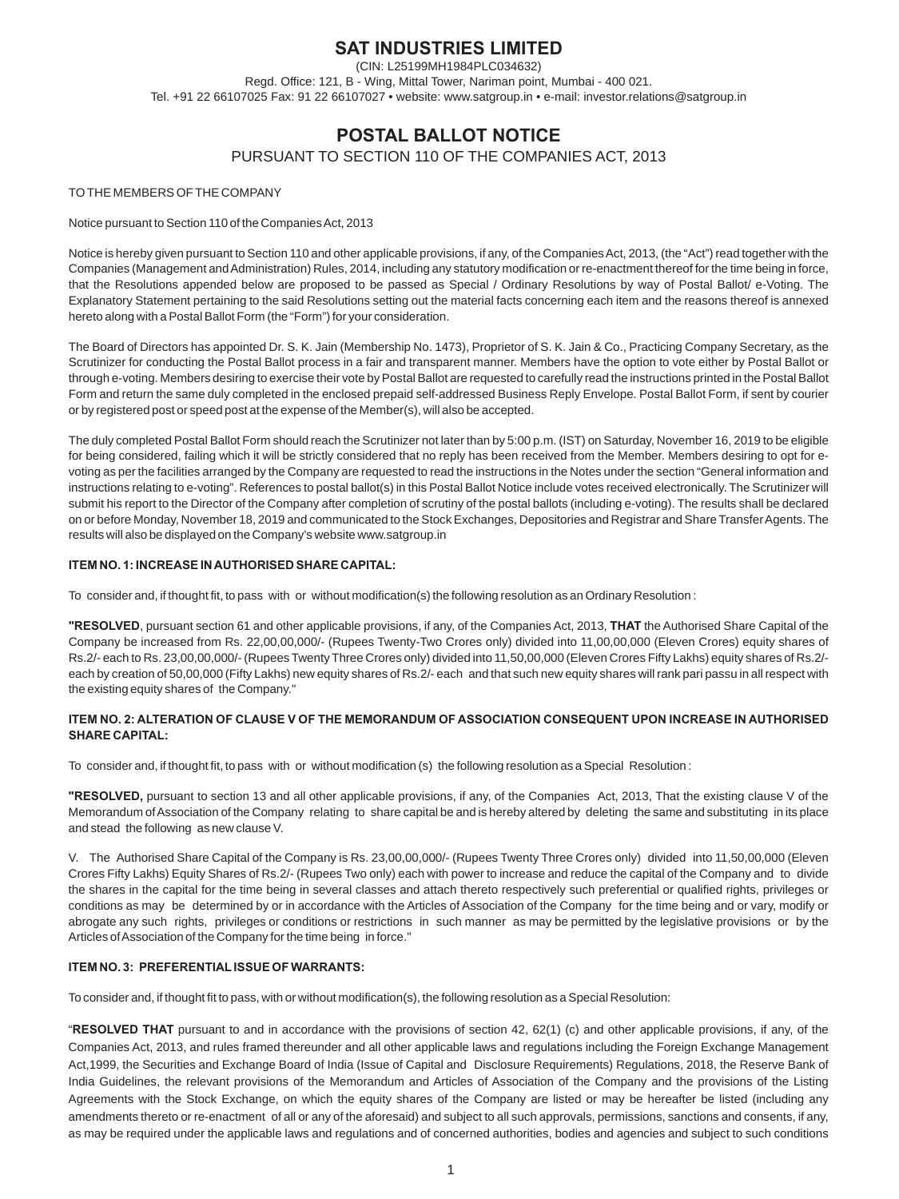# **SAT INDUSTRIES LIMITED**

(CIN: L25199MH1984PLC034632) Regd. Office: 121, B - Wing, Mittal Tower, Nariman point, Mumbai - 400 021. Tel. +91 22 66107025 Fax: 91 22 66107027 • website: www.satgroup.in • e-mail: investor.relations@satgroup.in

# **POSTAL BALLOT NOTICE**

PURSUANT TO SECTION 110 OF THE COMPANIES ACT, 2013

# TO THE MEMBERS OF THE COMPANY

# Notice pursuant to Section 110 of the Companies Act, 2013

Notice is hereby given pursuant to Section 110 and other applicable provisions, if any, of the Companies Act, 2013, (the "Act") read together with the Companies (Management and Administration) Rules, 2014, including any statutory modification or re-enactment thereof for the time being in force, that the Resolutions appended below are proposed to be passed as Special / Ordinary Resolutions by way of Postal Ballot/ e-Voting. The Explanatory Statement pertaining to the said Resolutions setting out the material facts concerning each item and the reasons thereof is annexed hereto along with a Postal Ballot Form (the "Form") for your consideration.

The Board of Directors has appointed Dr. S. K. Jain (Membership No. 1473), Proprietor of S. K. Jain & Co., Practicing Company Secretary, as the Scrutinizer for conducting the Postal Ballot process in a fair and transparent manner. Members have the option to vote either by Postal Ballot or through e-voting. Members desiring to exercise their vote by Postal Ballot are requested to carefully read the instructions printed in the Postal Ballot Form and return the same duly completed in the enclosed prepaid self-addressed Business Reply Envelope. Postal Ballot Form, if sent by courier or by registered post or speed post at the expense of the Member(s), will also be accepted.

The duly completed Postal Ballot Form should reach the Scrutinizer not later than by 5:00 p.m. (IST) on Saturday, November 16, 2019 to be eligible for being considered, failing which it will be strictly considered that no reply has been received from the Member. Members desiring to opt for evoting as per the facilities arranged by the Company are requested to read the instructions in the Notes under the section "General information and instructions relating to e-voting". References to postal ballot(s) in this Postal Ballot Notice include votes received electronically. The Scrutinizer will submit his report to the Director of the Company after completion of scrutiny of the postal ballots (including e-voting). The results shall be declared on or before Monday, November 18, 2019 and communicated to the Stock Exchanges, Depositories and Registrar and Share Transfer Agents. The results will also be displayed on the Company's website www.satgroup.in

# **ITEM NO. 1: INCREASE IN AUTHORISED SHARE CAPITAL:**

To consider and, if thought fit, to pass with or without modification(s) the following resolution as an Ordinary Resolution :

**"RESOLVED**, pursuant section 61 and other applicable provisions, if any, of the Companies Act, 2013, **THAT** the Authorised Share Capital of the Company be increased from Rs. 22,00,00,000/- (Rupees Twenty-Two Crores only) divided into 11,00,00,000 (Eleven Crores) equity shares of Rs.2/- each to Rs. 23,00,00,000/- (Rupees Twenty Three Crores only) divided into 11,50,00,000 (Eleven Crores Fifty Lakhs) equity shares of Rs.2/ each by creation of 50,00,000 (Fifty Lakhs) new equity shares of Rs.2/- each and that such new equity shares will rank pari passu in all respect with the existing equity shares of the Company."

# **ITEM NO. 2: ALTERATION OF CLAUSE V OF THE MEMORANDUM OF ASSOCIATION CONSEQUENT UPON INCREASE IN AUTHORISED SHARE CAPITAL:**

To consider and, if thought fit, to pass with or without modification (s) the following resolution as a Special Resolution :

**"RESOLVED,** pursuant to section 13 and all other applicable provisions, if any, of the Companies Act, 2013, That the existing clause V of the Memorandum of Association of the Company relating to share capital be and is hereby altered by deleting the same and substituting in its place and stead the following as new clause V.

V. The Authorised Share Capital of the Company is Rs. 23,00,00,000/- (Rupees Twenty Three Crores only) divided into 11,50,00,000 (Eleven Crores Fifty Lakhs) Equity Shares of Rs.2/- (Rupees Two only) each with power to increase and reduce the capital of the Company and to divide the shares in the capital for the time being in several classes and attach thereto respectively such preferential or qualified rights, privileges or conditions as may be determined by or in accordance with the Articles of Association of the Company for the time being and or vary, modify or abrogate any such rights, privileges or conditions or restrictions in such manner as may be permitted by the legislative provisions or by the Articles of Association of the Company for the time being in force."

# **ITEM NO. 3: PREFERENTIAL ISSUE OF WARRANTS:**

To consider and, if thought fit to pass, with or without modification(s), the following resolution as a Special Resolution:

"**RESOLVED THAT** pursuant to and in accordance with the provisions of section 42, 62(1) (c) and other applicable provisions, if any, of the Companies Act, 2013, and rules framed thereunder and all other applicable laws and regulations including the Foreign Exchange Management Act,1999, the Securities and Exchange Board of India (Issue of Capital and Disclosure Requirements) Regulations, 2018, the Reserve Bank of India Guidelines, the relevant provisions of the Memorandum and Articles of Association of the Company and the provisions of the Listing Agreements with the Stock Exchange, on which the equity shares of the Company are listed or may be hereafter be listed (including any amendments thereto or re-enactment of all or any of the aforesaid) and subject to all such approvals, permissions, sanctions and consents, if any, as may be required under the applicable laws and regulations and of concerned authorities, bodies and agencies and subject to such conditions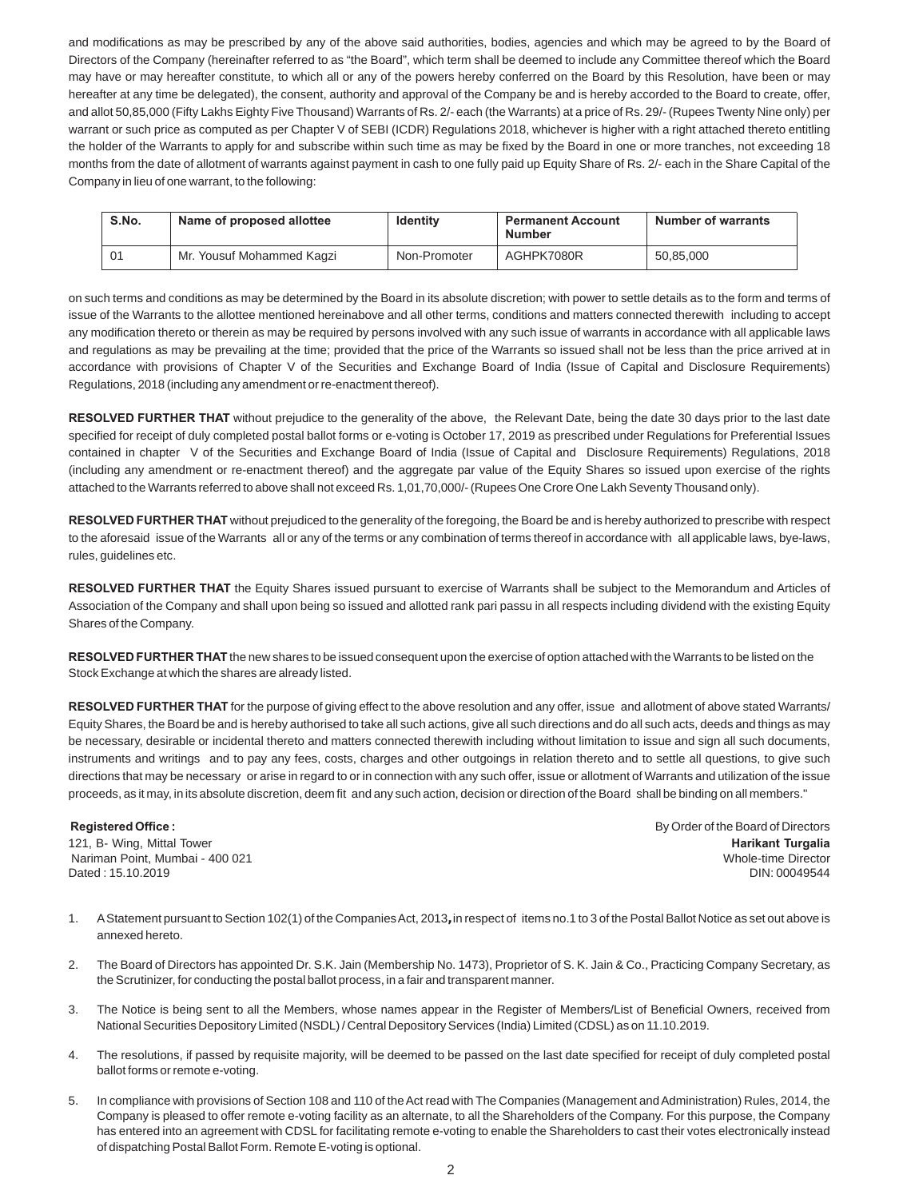and modifications as may be prescribed by any of the above said authorities, bodies, agencies and which may be agreed to by the Board of Directors of the Company (hereinafter referred to as "the Board", which term shall be deemed to include any Committee thereof which the Board may have or may hereafter constitute, to which all or any of the powers hereby conferred on the Board by this Resolution, have been or may hereafter at any time be delegated), the consent, authority and approval of the Company be and is hereby accorded to the Board to create, offer, and allot 50,85,000 (Fifty Lakhs Eighty Five Thousand) Warrants of Rs. 2/- each (the Warrants) at a price of Rs. 29/- (Rupees Twenty Nine only) per warrant or such price as computed as per Chapter V of SEBI (ICDR) Regulations 2018, whichever is higher with a right attached thereto entitling the holder of the Warrants to apply for and subscribe within such time as may be fixed by the Board in one or more tranches, not exceeding 18 months from the date of allotment of warrants against payment in cash to one fully paid up Equity Share of Rs. 2/- each in the Share Capital of the Company in lieu of one warrant, to the following:

| S.No. | Name of proposed allottee | <b>Identity</b> | <b>Permanent Account</b><br><b>Number</b> | Number of warrants |
|-------|---------------------------|-----------------|-------------------------------------------|--------------------|
| 01    | Mr. Yousuf Mohammed Kagzi | Non-Promoter    | AGHPK7080R                                | 50,85,000          |

on such terms and conditions as may be determined by the Board in its absolute discretion; with power to settle details as to the form and terms of issue of the Warrants to the allottee mentioned hereinabove and all other terms, conditions and matters connected therewith including to accept any modification thereto or therein as may be required by persons involved with any such issue of warrants in accordance with all applicable laws and regulations as may be prevailing at the time; provided that the price of the Warrants so issued shall not be less than the price arrived at in accordance with provisions of Chapter V of the Securities and Exchange Board of India (Issue of Capital and Disclosure Requirements) Regulations, 2018 (including any amendment or re-enactment thereof).

**RESOLVED FURTHER THAT** without prejudice to the generality of the above, the Relevant Date, being the date 30 days prior to the last date specified for receipt of duly completed postal ballot forms or e-voting is October 17, 2019 as prescribed under Regulations for Preferential Issues contained in chapter V of the Securities and Exchange Board of India (Issue of Capital and Disclosure Requirements) Regulations, 2018 (including any amendment or re-enactment thereof) and the aggregate par value of the Equity Shares so issued upon exercise of the rights attached to the Warrants referred to above shall not exceed Rs. 1,01,70,000/- (Rupees One Crore One Lakh Seventy Thousand only).

**RESOLVED FURTHER THAT** without prejudiced to the generality of the foregoing, the Board be and is hereby authorized to prescribe with respect to the aforesaid issue of the Warrants all or any of the terms or any combination of terms thereof in accordance with all applicable laws, bye-laws, rules, guidelines etc.

**RESOLVED FURTHER THAT** the Equity Shares issued pursuant to exercise of Warrants shall be subject to the Memorandum and Articles of Association of the Company and shall upon being so issued and allotted rank pari passu in all respects including dividend with the existing Equity Shares of the Company.

**RESOLVED FURTHER THAT** the new shares to be issued consequent upon the exercise of option attached with the Warrants to be listed on the Stock Exchange at which the shares are already listed.

**RESOLVED FURTHER THAT** for the purpose of giving effect to the above resolution and any offer, issue and allotment of above stated Warrants/ Equity Shares, the Board be and is hereby authorised to take all such actions, give all such directions and do all such acts, deeds and things as may be necessary, desirable or incidental thereto and matters connected therewith including without limitation to issue and sign all such documents, instruments and writings and to pay any fees, costs, charges and other outgoings in relation thereto and to settle all questions, to give such directions that may be necessary or arise in regard to or in connection with any such offer, issue or allotment of Warrants and utilization of the issue proceeds, as it may, in its absolute discretion, deem fit and any such action, decision or direction of the Board shall be binding on all members."

121, B- Wing, Mittal Tower **Harikant Turgalia** Nariman Point, Mumbai - 400 021 Whole-time Director Dated : 15.10.2019 DIN: 00049544

**Registered Office : By Order of the Board of Directors** 

- 1. A Statement pursuant to Section 102(1) of the Companies Act, 2013**,** in respect of items no.1 to 3 of the Postal Ballot Notice as set out above is annexed hereto.
- 2. The Board of Directors has appointed Dr. S.K. Jain (Membership No. 1473), Proprietor of S. K. Jain & Co., Practicing Company Secretary, as the Scrutinizer, for conducting the postal ballot process, in a fair and transparent manner.
- 3. The Notice is being sent to all the Members, whose names appear in the Register of Members/List of Beneficial Owners, received from National Securities Depository Limited (NSDL) / Central Depository Services (India) Limited (CDSL) as on 11.10.2019.
- 4. The resolutions, if passed by requisite majority, will be deemed to be passed on the last date specified for receipt of duly completed postal ballot forms or remote e-voting.
- 5. In compliance with provisions of Section 108 and 110 of the Act read with The Companies (Management and Administration) Rules, 2014, the Company is pleased to offer remote e-voting facility as an alternate, to all the Shareholders of the Company. For this purpose, the Company has entered into an agreement with CDSL for facilitating remote e-voting to enable the Shareholders to cast their votes electronically instead of dispatching Postal Ballot Form. Remote E-voting is optional.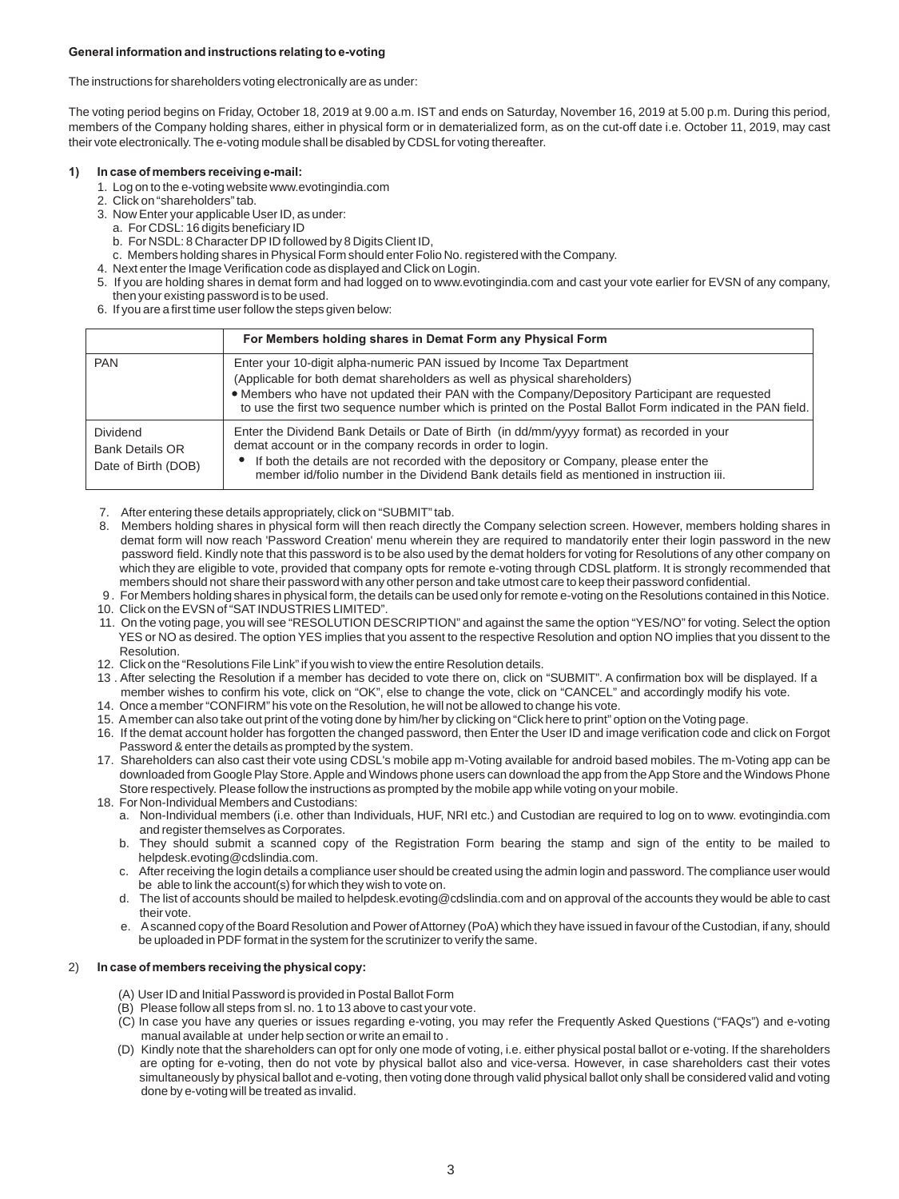# **General information and instructions relating to e-voting**

The instructions for shareholders voting electronically are as under:

The voting period begins on Friday, October 18, 2019 at 9.00 a.m. IST and ends on Saturday, November 16, 2019 at 5.00 p.m. During this period, members of the Company holding shares, either in physical form or in dematerialized form, as on the cut-off date i.e. October 11, 2019, may cast their vote electronically. The e-voting module shall be disabled by CDSL for voting thereafter.

# **1) In case of members receiving e-mail:**

- 1. Log on to the e-voting website www.evotingindia.com
- 2. Click on "shareholders" tab.
- 3. Now Enter your applicable User ID, as under:
	- a. For CDSL: 16 digits beneficiary ID
	- b. For NSDL: 8 Character DP ID followed by 8 Digits Client ID,
- c. Members holding shares in Physical Form should enter Folio No. registered with the Company.
- 4. Next enter the Image Verification code as displayed and Click on Login.
- 5. If you are holding shares in demat form and had logged on to www.evotingindia.com and cast your vote earlier for EVSN of any company, then your existing password is to be used.
- 6. If you are a first time user follow the steps given below:

|                                                                  | For Members holding shares in Demat Form any Physical Form                                                                                                                                                                                                                                                                                                          |
|------------------------------------------------------------------|---------------------------------------------------------------------------------------------------------------------------------------------------------------------------------------------------------------------------------------------------------------------------------------------------------------------------------------------------------------------|
| <b>PAN</b>                                                       | Enter your 10-digit alpha-numeric PAN issued by Income Tax Department<br>(Applicable for both demat shareholders as well as physical shareholders)<br>• Members who have not updated their PAN with the Company/Depository Participant are requested<br>to use the first two sequence number which is printed on the Postal Ballot Form indicated in the PAN field. |
| <b>Dividend</b><br><b>Bank Details OR</b><br>Date of Birth (DOB) | Enter the Dividend Bank Details or Date of Birth (in dd/mm/yyyy format) as recorded in your<br>demat account or in the company records in order to login.<br>If both the details are not recorded with the depository or Company, please enter the<br>member id/folio number in the Dividend Bank details field as mentioned in instruction iii.                    |

7. After entering these details appropriately, click on "SUBMIT" tab.

- 8. Members holding shares in physical form will then reach directly the Company selection screen. However, members holding shares in demat form will now reach 'Password Creation' menu wherein they are required to mandatorily enter their login password in the new password field. Kindly note that this password is to be also used by the demat holders for voting for Resolutions of any other company on which they are eligible to vote, provided that company opts for remote e-voting through CDSL platform. It is strongly recommended that members should not share their password with any other person and take utmost care to keep their password confidential.
- 9 . For Members holding shares in physical form, the details can be used only for remote e-voting on the Resolutions contained in this Notice. 10. Click on the EVSN of "SAT INDUSTRIES LIMITED".
- 11. On the voting page, you will see "RESOLUTION DESCRIPTION" and against the same the option "YES/NO" for voting. Select the option YES or NO as desired. The option YES implies that you assent to the respective Resolution and option NO implies that you dissent to the Resolution.
- 12. Click on the "Resolutions File Link" if you wish to view the entire Resolution details.
- 13 . After selecting the Resolution if a member has decided to vote there on, click on "SUBMIT". A confirmation box will be displayed. If a member wishes to confirm his vote, click on "OK", else to change the vote, click on "CANCEL" and accordingly modify his vote.
- 14. Once a member "CONFIRM" his vote on the Resolution, he will not be allowed to change his vote.
- 15. A member can also take out print of the voting done by him/her by clicking on "Click here to print" option on the Voting page.
- 16. If the demat account holder has forgotten the changed password, then Enter the User ID and image verification code and click on Forgot Password & enter the details as prompted by the system.
- 17. Shareholders can also cast their vote using CDSL's mobile app m-Voting available for android based mobiles. The m-Voting app can be downloaded from Google Play Store. Apple and Windows phone users can download the app from the App Store and the Windows Phone Store respectively. Please follow the instructions as prompted by the mobile app while voting on your mobile.
- 18. For Non-Individual Members and Custodians:
	- a. Non-Individual members (i.e. other than Individuals, HUF, NRI etc.) and Custodian are required to log on to www. evotingindia.com and register themselves as Corporates.
	- b. They should submit a scanned copy of the Registration Form bearing the stamp and sign of the entity to be mailed to helpdesk.evoting@cdslindia.com.
	- c. After receiving the login details a compliance user should be created using the admin login and password. The compliance user would be able to link the account(s) for which they wish to vote on.
	- d. The list of accounts should be mailed to helpdesk.evoting@cdslindia.com and on approval of the accounts they would be able to cast their vote.
	- e. A scanned copy of the Board Resolution and Power of Attorney (PoA) which they have issued in favour of the Custodian, if any, should be uploaded in PDF format in the system for the scrutinizer to verify the same.

# 2) **In case of members receiving the physical copy:**

- (A) User ID and Initial Password is provided in Postal Ballot Form
- (B) Please follow all steps from sl. no. 1 to 13 above to cast your vote.
- (C) In case you have any queries or issues regarding e-voting, you may refer the Frequently Asked Questions ("FAQs") and e-voting manual available at under help section or write an email to .
- (D) Kindly note that the shareholders can opt for only one mode of voting, i.e. either physical postal ballot or e-voting. If the shareholders are opting for e-voting, then do not vote by physical ballot also and vice-versa. However, in case shareholders cast their votes simultaneously by physical ballot and e-voting, then voting done through valid physical ballot only shall be considered valid and voting done by e-voting will be treated as invalid.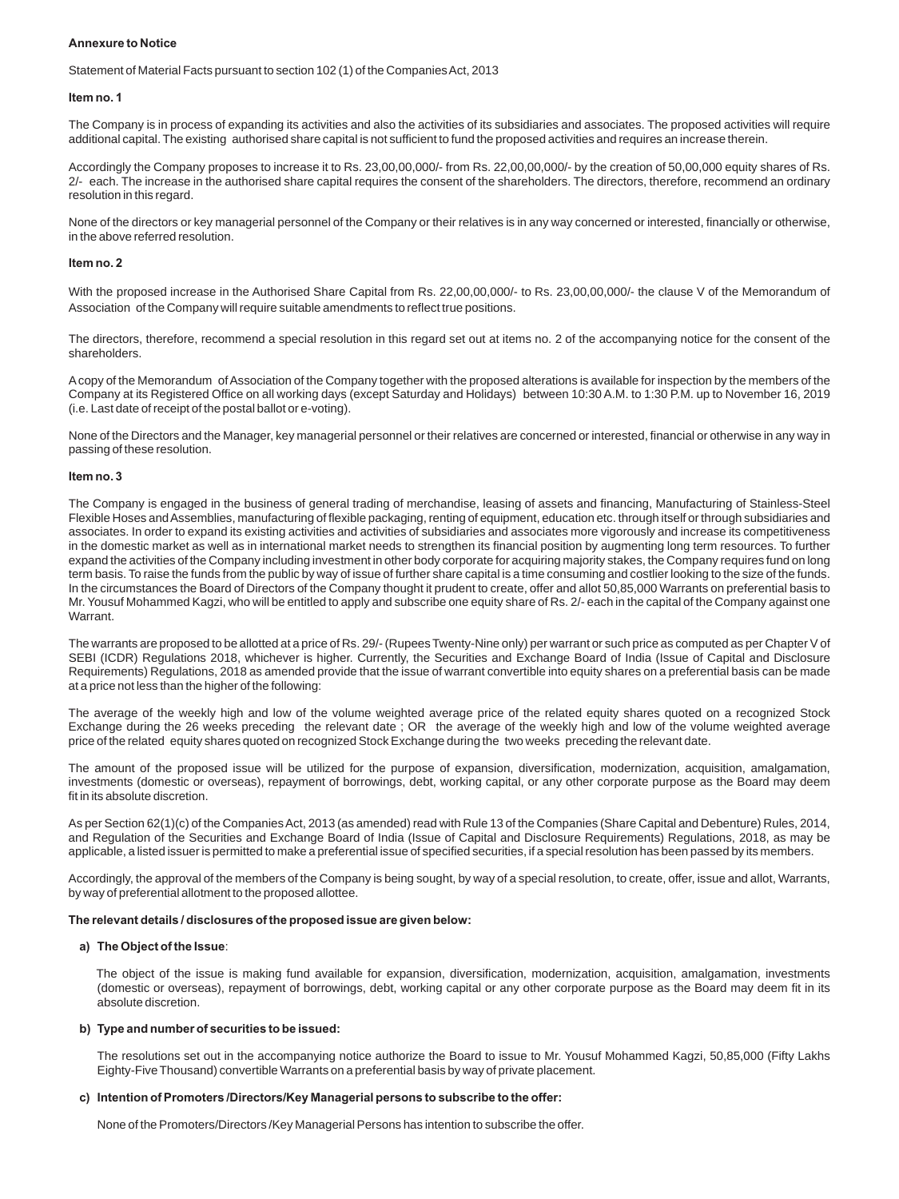#### **Annexure to Notice**

Statement of Material Facts pursuant to section 102 (1) of the Companies Act, 2013

#### **Item no. 1**

The Company is in process of expanding its activities and also the activities of its subsidiaries and associates. The proposed activities will require additional capital. The existing authorised share capital is not sufficient to fund the proposed activities and requires an increase therein.

Accordingly the Company proposes to increase it to Rs. 23,00,00,000/- from Rs. 22,00,00,000/- by the creation of 50,00,000 equity shares of Rs. 2/- each. The increase in the authorised share capital requires the consent of the shareholders. The directors, therefore, recommend an ordinary resolution in this regard.

None of the directors or key managerial personnel of the Company or their relatives is in any way concerned or interested, financially or otherwise, in the above referred resolution.

#### **Item no. 2**

With the proposed increase in the Authorised Share Capital from Rs. 22,00,00,000/- to Rs. 23,00,00,000/- the clause V of the Memorandum of Association of the Company will require suitable amendments to reflect true positions.

The directors, therefore, recommend a special resolution in this regard set out at items no. 2 of the accompanying notice for the consent of the shareholders.

A copy of the Memorandum of Association of the Company together with the proposed alterations is available for inspection by the members of the Company at its Registered Office on all working days (except Saturday and Holidays) between 10:30 A.M. to 1:30 P.M. up to November 16, 2019 (i.e. Last date of receipt of the postal ballot or e-voting).

None of the Directors and the Manager, key managerial personnel or their relatives are concerned or interested, financial or otherwise in any way in passing of these resolution.

#### **Item no. 3**

The Company is engaged in the business of general trading of merchandise, leasing of assets and financing, Manufacturing of Stainless-Steel Flexible Hoses and Assemblies, manufacturing of flexible packaging, renting of equipment, education etc. through itself or through subsidiaries and associates. In order to expand its existing activities and activities of subsidiaries and associates more vigorously and increase its competitiveness in the domestic market as well as in international market needs to strengthen its financial position by augmenting long term resources. To further expand the activities of the Company including investment in other body corporate for acquiring majority stakes, the Company requires fund on long term basis. To raise the funds from the public by way of issue of further share capital is a time consuming and costlier looking to the size of the funds. In the circumstances the Board of Directors of the Company thought it prudent to create, offer and allot 50,85,000 Warrants on preferential basis to Mr. Yousuf Mohammed Kagzi, who will be entitled to apply and subscribe one equity share of Rs. 2/- each in the capital of the Company against one Warrant.

The warrants are proposed to be allotted at a price of Rs. 29/- (Rupees Twenty-Nine only) per warrant or such price as computed as per Chapter V of SEBI (ICDR) Regulations 2018, whichever is higher. Currently, the Securities and Exchange Board of India (Issue of Capital and Disclosure Requirements) Regulations, 2018 as amended provide that the issue of warrant convertible into equity shares on a preferential basis can be made at a price not less than the higher of the following:

The average of the weekly high and low of the volume weighted average price of the related equity shares quoted on a recognized Stock Exchange during the 26 weeks preceding the relevant date ; OR the average of the weekly high and low of the volume weighted average price of the related equity shares quoted on recognized Stock Exchange during the two weeks preceding the relevant date.

The amount of the proposed issue will be utilized for the purpose of expansion, diversification, modernization, acquisition, amalgamation, investments (domestic or overseas), repayment of borrowings, debt, working capital, or any other corporate purpose as the Board may deem fit in its absolute discretion.

As per Section 62(1)(c) of the Companies Act, 2013 (as amended) read with Rule 13 of the Companies (Share Capital and Debenture) Rules, 2014, and Regulation of the Securities and Exchange Board of India (Issue of Capital and Disclosure Requirements) Regulations, 2018, as may be applicable, a listed issuer is permitted to make a preferential issue of specified securities, if a special resolution has been passed by its members.

Accordingly, the approval of the members of the Company is being sought, by way of a special resolution, to create, offer, issue and allot, Warrants, by way of preferential allotment to the proposed allottee.

#### **The relevant details / disclosures of the proposed issue are given below:**

## **a) The Object of the Issue**:

 The object of the issue is making fund available for expansion, diversification, modernization, acquisition, amalgamation, investments (domestic or overseas), repayment of borrowings, debt, working capital or any other corporate purpose as the Board may deem fit in its absolute discretion.

#### **b) Type and number of securities to be issued:**

The resolutions set out in the accompanying notice authorize the Board to issue to Mr. Yousuf Mohammed Kagzi, 50,85,000 (Fifty Lakhs Eighty-Five Thousand) convertible Warrants on a preferential basis by way of private placement.

#### **c) Intention of Promoters /Directors/Key Managerial persons to subscribe to the offer:**

None of the Promoters/Directors /Key Managerial Persons has intention to subscribe the offer.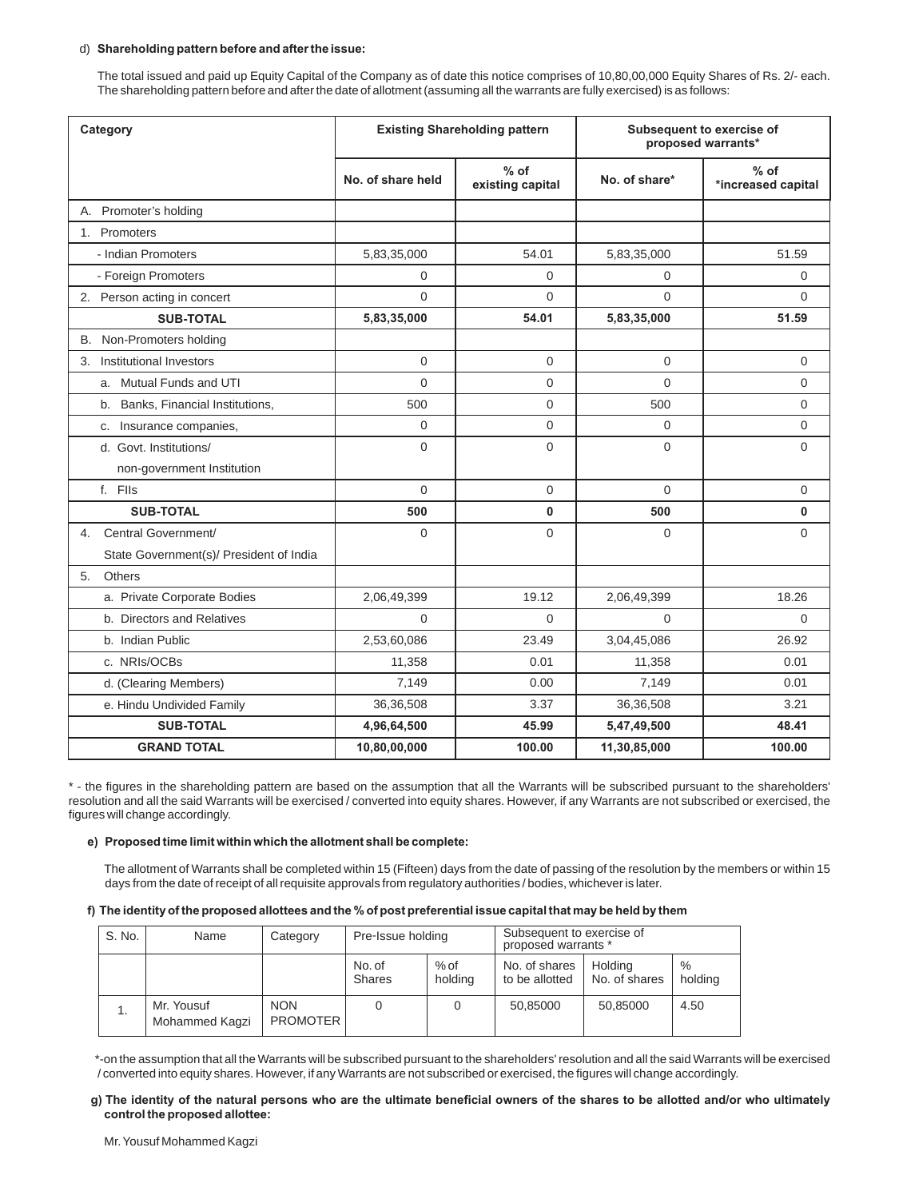## d) **Shareholding pattern before and after the issue:**

The total issued and paid up Equity Capital of the Company as of date this notice comprises of 10,80,00,000 Equity Shares of Rs. 2/- each. The shareholding pattern before and after the date of allotment (assuming all the warrants are fully exercised) is as follows:

| Category                                |                   | <b>Existing Shareholding pattern</b> | Subsequent to exercise of<br>proposed warrants* |                              |  |
|-----------------------------------------|-------------------|--------------------------------------|-------------------------------------------------|------------------------------|--|
|                                         | No. of share held | $%$ of<br>existing capital           | No. of share*                                   | $%$ of<br>*increased capital |  |
| A. Promoter's holding                   |                   |                                      |                                                 |                              |  |
| 1. Promoters                            |                   |                                      |                                                 |                              |  |
| - Indian Promoters                      | 5,83,35,000       | 54.01                                | 5,83,35,000                                     | 51.59                        |  |
| - Foreign Promoters                     | 0                 | $\Omega$                             | 0                                               | $\Omega$                     |  |
| 2. Person acting in concert             | $\Omega$          | $\mathbf{0}$                         | $\Omega$                                        | $\Omega$                     |  |
| <b>SUB-TOTAL</b>                        | 5,83,35,000       | 54.01                                | 5,83,35,000                                     | 51.59                        |  |
| B. Non-Promoters holding                |                   |                                      |                                                 |                              |  |
| Institutional Investors<br>3.           | 0                 | 0                                    | $\mathbf 0$                                     | $\mathbf 0$                  |  |
| a. Mutual Funds and UTI                 | $\Omega$          | $\Omega$                             | $\overline{0}$                                  | $\Omega$                     |  |
| b. Banks, Financial Institutions,       | 500               | 0                                    | 500                                             | $\mathbf 0$                  |  |
| c. Insurance companies,                 | 0                 | 0                                    | 0                                               | $\mathbf{0}$                 |  |
| d. Govt. Institutions/                  | $\Omega$          | $\Omega$                             | $\overline{0}$                                  | $\Omega$                     |  |
| non-government Institution              |                   |                                      |                                                 |                              |  |
| f. Flls                                 | $\Omega$          | 0                                    | $\mathbf 0$                                     | $\mathbf 0$                  |  |
| <b>SUB-TOTAL</b>                        | 500               | 0                                    | 500                                             | $\mathbf{0}$                 |  |
| Central Government/<br>4.               | 0                 | $\Omega$                             | $\Omega$                                        | $\Omega$                     |  |
| State Government(s)/ President of India |                   |                                      |                                                 |                              |  |
| 5.<br>Others                            |                   |                                      |                                                 |                              |  |
| a. Private Corporate Bodies             | 2,06,49,399       | 19.12                                | 2,06,49,399                                     | 18.26                        |  |
| b. Directors and Relatives              | 0                 | 0                                    | $\overline{0}$                                  | $\Omega$                     |  |
| b. Indian Public                        | 2,53,60,086       | 23.49                                | 3,04,45,086                                     | 26.92                        |  |
| c. NRIs/OCBs                            | 11,358            | 0.01                                 | 11,358                                          | 0.01                         |  |
| d. (Clearing Members)                   | 7,149             | 0.00                                 | 7,149                                           | 0.01                         |  |
| e. Hindu Undivided Family               | 36,36,508         | 3.37                                 | 36,36,508                                       | 3.21                         |  |
| <b>SUB-TOTAL</b>                        | 4,96,64,500       | 45.99                                | 5,47,49,500                                     | 48.41                        |  |
| <b>GRAND TOTAL</b>                      | 10,80,00,000      | 100.00                               | 11,30,85,000                                    | 100.00                       |  |

\* - the figures in the shareholding pattern are based on the assumption that all the Warrants will be subscribed pursuant to the shareholders' resolution and all the said Warrants will be exercised / converted into equity shares. However, if any Warrants are not subscribed or exercised, the figures will change accordingly.

#### **e) Proposed time limit within which the allotment shall be complete:**

 The allotment of Warrants shall be completed within 15 (Fifteen) days from the date of passing of the resolution by the members or within 15 days from the date of receipt of all requisite approvals from regulatory authorities / bodies, whichever is later.

#### **f) The identity of the proposed allottees and the % of post preferential issue capital that may be held by them**

| S. No. | Name                         | Category                      | Pre-Issue holding       |                   | Subsequent to exercise of<br>proposed warrants * |                          |                 |
|--------|------------------------------|-------------------------------|-------------------------|-------------------|--------------------------------------------------|--------------------------|-----------------|
|        |                              |                               | No. of<br><b>Shares</b> | $%$ of<br>holding | No. of shares<br>to be allotted                  | Holdina<br>No. of shares | $\%$<br>holding |
|        | Mr. Yousuf<br>Mohammed Kaqzi | <b>NON</b><br><b>PROMOTER</b> |                         |                   | 50,85000                                         | 50,85000                 | 4.50            |

 \*-on the assumption that all the Warrants will be subscribed pursuant to the shareholders' resolution and all the said Warrants will be exercised / converted into equity shares. However, if any Warrants are not subscribed or exercised, the figures will change accordingly.

#### **g) The identity of the natural persons who are the ultimate beneficial owners of the shares to be allotted and/or who ultimately control the proposed allottee:**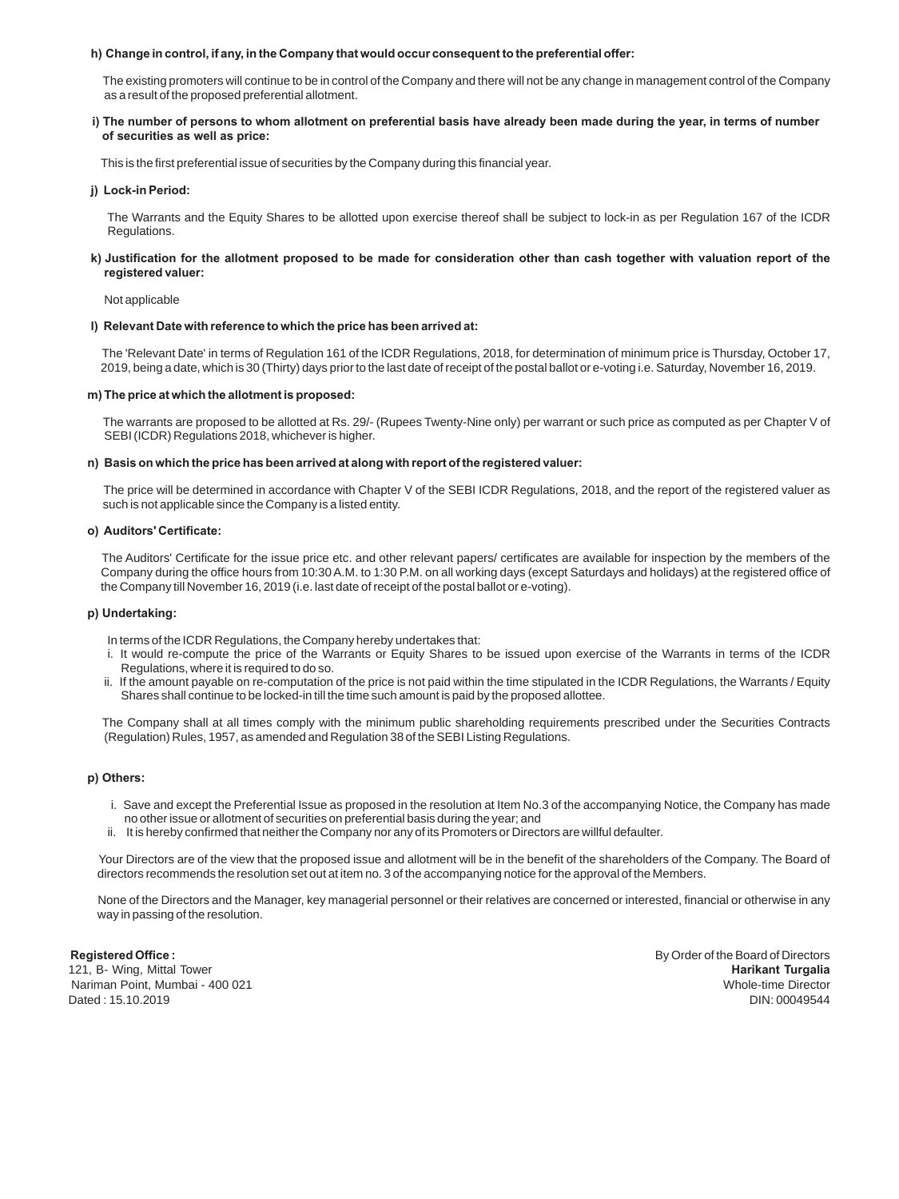#### **h) Change in control, if any, in the Company that would occur consequent to the preferential offer:**

 The existing promoters will continue to be in control of the Company and there will not be any change in management control of the Company as a result of the proposed preferential allotment.

#### **i) The number of persons to whom allotment on preferential basis have already been made during the year, in terms of number of securities as well as price:**

This is the first preferential issue of securities by the Company during this financial year.

#### **j) Lock-in Period:**

 The Warrants and the Equity Shares to be allotted upon exercise thereof shall be subject to lock-in as per Regulation 167 of the ICDR Regulations.

#### **k) Justification for the allotment proposed to be made for consideration other than cash together with valuation report of the registered valuer:**

Not applicable

#### **l) Relevant Date with reference to which the price has been arrived at:**

 The 'Relevant Date' in terms of Regulation 161 of the ICDR Regulations, 2018, for determination of minimum price is Thursday, October 17, 2019, being a date, which is 30 (Thirty) days prior to the last date of receipt of the postal ballot or e-voting i.e. Saturday, November 16, 2019.

#### **m) The price at which the allotment is proposed:**

 The warrants are proposed to be allotted at Rs. 29/- (Rupees Twenty-Nine only) per warrant or such price as computed as per Chapter V of SEBI (ICDR) Regulations 2018, whichever is higher.

#### **n) Basis on which the price has been arrived at along with report of the registered valuer:**

 The price will be determined in accordance with Chapter V of the SEBI ICDR Regulations, 2018, and the report of the registered valuer as such is not applicable since the Company is a listed entity.

#### **o) Auditors' Certificate:**

 The Auditors' Certificate for the issue price etc. and other relevant papers/ certificates are available for inspection by the members of the Company during the office hours from 10:30 A.M. to 1:30 P.M. on all working days (except Saturdays and holidays) at the registered office of the Company till November 16, 2019 (i.e. last date of receipt of the postal ballot or e-voting).

#### **p) Undertaking:**

In terms of the ICDR Regulations, the Company hereby undertakes that:

- i. It would re-compute the price of the Warrants or Equity Shares to be issued upon exercise of the Warrants in terms of the ICDR Regulations, where it is required to do so.
- ii. If the amount payable on re-computation of the price is not paid within the time stipulated in the ICDR Regulations, the Warrants / Equity Shares shall continue to be locked-in till the time such amount is paid by the proposed allottee.

 The Company shall at all times comply with the minimum public shareholding requirements prescribed under the Securities Contracts (Regulation) Rules, 1957, as amended and Regulation 38 of the SEBI Listing Regulations.

#### **p) Others:**

- i. Save and except the Preferential Issue as proposed in the resolution at Item No.3 of the accompanying Notice, the Company has made no other issue or allotment of securities on preferential basis during the year; and
- ii. It is hereby confirmed that neither the Company nor any of its Promoters or Directors are willful defaulter.

 Your Directors are of the view that the proposed issue and allotment will be in the benefit of the shareholders of the Company. The Board of directors recommends the resolution set out at item no. 3 of the accompanying notice for the approval of the Members.

 None of the Directors and the Manager, key managerial personnel or their relatives are concerned or interested, financial or otherwise in any way in passing of the resolution.

**Registered Office : By Order of the Board of Directors** 121, B- Wing, Mittal Tower **Harikant Turgalia** Nariman Point, Mumbai - 400 021 Whole-time Director Dated: 15.10.2019